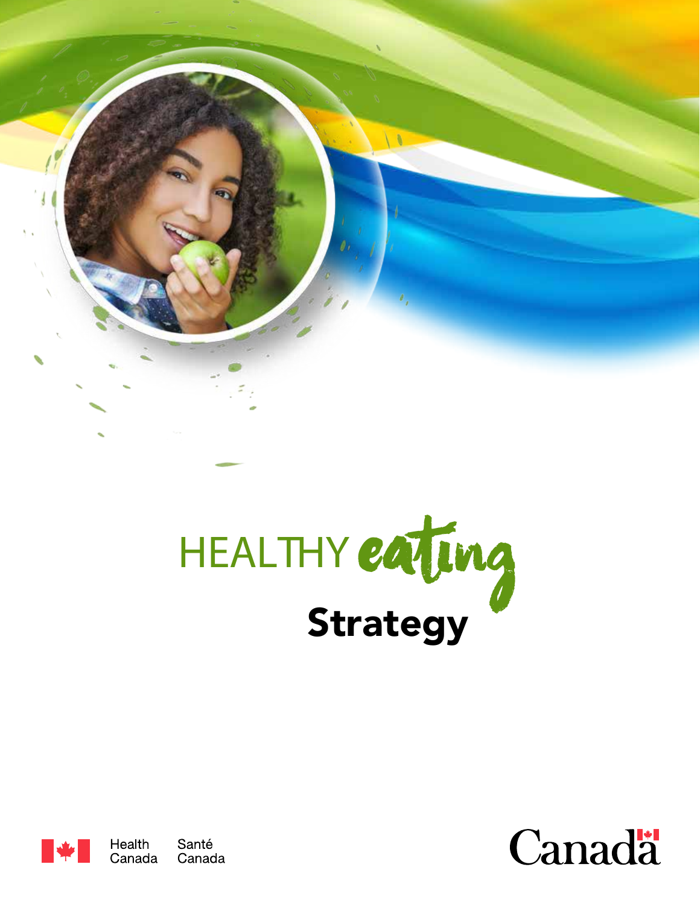





Santé Canada Canada

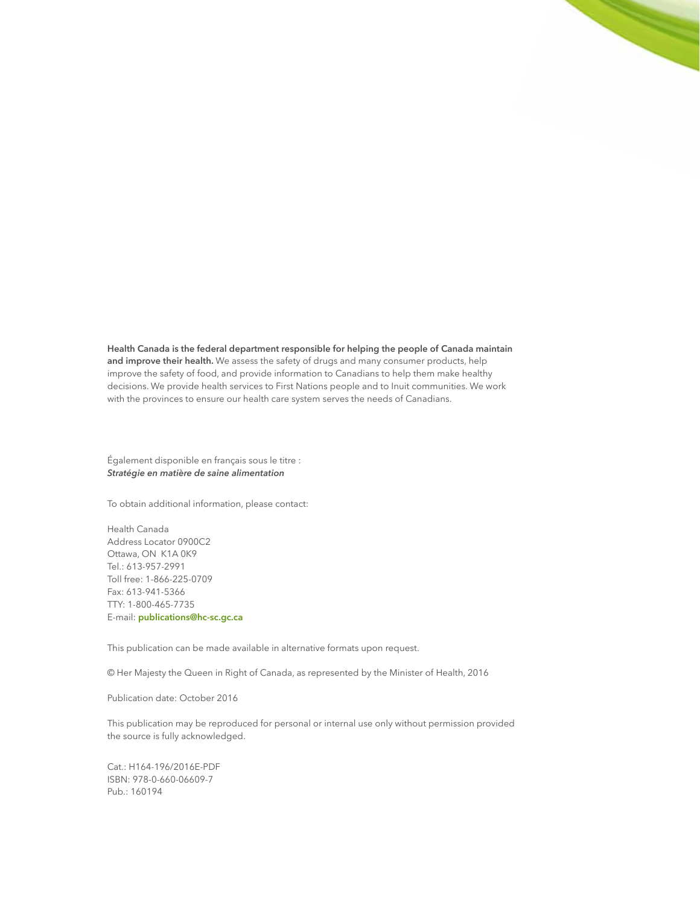**Health Canada is the federal department responsible for helping the people of Canada maintain and improve their health.** We assess the safety of drugs and many consumer products, help improve the safety of food, and provide information to Canadians to help them make healthy decisions. We provide health services to First Nations people and to Inuit communities. We work with the provinces to ensure our health care system serves the needs of Canadians.

Également disponible en français sous le titre : *Stratégie en matière de saine alimentation*

To obtain additional information, please contact:

Health Canada Address Locator 0900C2 Ottawa, ON K1A 0K9 Tel.: 613-957-2991 Toll free: 1-866-225-0709 Fax: 613-941-5366 TTY: 1-800-465-7735 E-mail: **publications@hc-sc.gc.ca**

This publication can be made available in alternative formats upon request.

© Her Majesty the Queen in Right of Canada, as represented by the Minister of Health, 2016

Publication date: October 2016

This publication may be reproduced for personal or internal use only without permission provided the source is fully acknowledged.

Cat.: H164-196/2016E-PDF ISBN: 978-0-660-06609-7 Pub.: 160194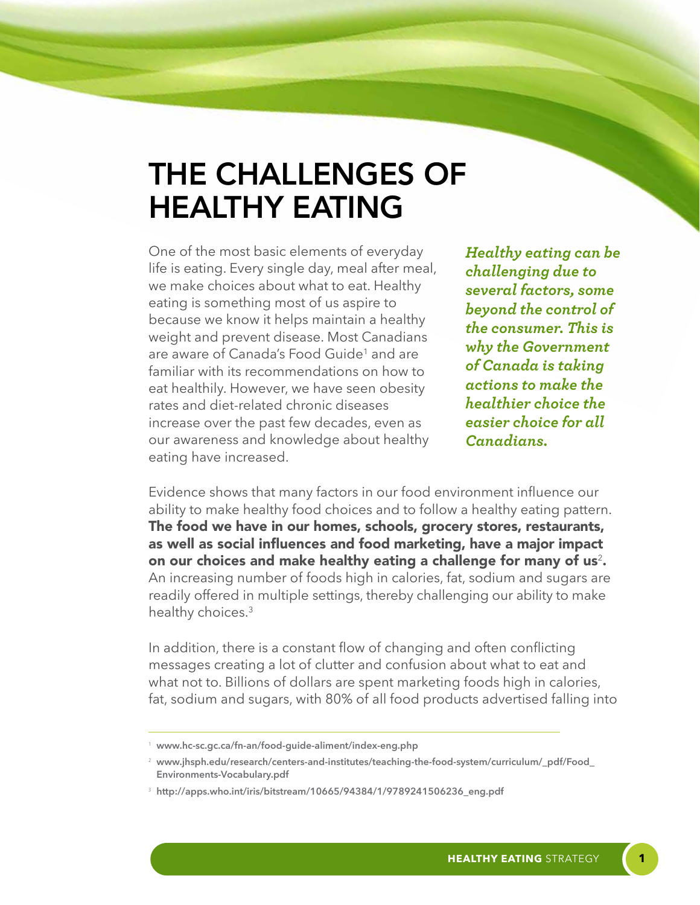### THE CHALLENGES OF HEALTHY EATING

One of the most basic elements of everyday life is eating. Every single day, meal after meal, we make choices about what to eat. Healthy eating is something most of us aspire to because we know it helps maintain a healthy weight and prevent disease. Most Canadians are aware of Canada's Food Guide<sup>1</sup> and are familiar with its recommendations on how to eat healthily. However, we have seen obesity rates and diet-related chronic diseases increase over the past few decades, even as our awareness and knowledge about healthy eating have increased.

*Healthy eating can be challenging due to several factors, some beyond the control of the consumer. This is why the Government of Canada is taking actions to make the healthier choice the easier choice for all Canadians.*

Evidence shows that many factors in our food environment influence our ability to make healthy food choices and to follow a healthy eating pattern. The food we have in our homes, schools, grocery stores, restaurants, as well as social influences and food marketing, have a major impact on our choices and make healthy eating a challenge for many of us<sup>2</sup>. An increasing number of foods high in calories, fat, sodium and sugars are readily offered in multiple settings, thereby challenging our ability to make healthy choices.<sup>3</sup>

In addition, there is a constant flow of changing and often conflicting messages creating a lot of clutter and confusion about what to eat and what not to. Billions of dollars are spent marketing foods high in calories, fat, sodium and sugars, with 80% of all food products advertised falling into

<sup>1</sup> **www.hc-sc.gc.ca/fn-an/food-guide-aliment/index-eng.php**

<sup>2</sup> **www.jhsph.edu/research/centers-and-institutes/teaching-the-food-system/curriculum/\_pdf/Food\_ Environments-Vocabulary.pdf**

<sup>3</sup> **http://apps.who.int/iris/bitstream/10665/94384/1/9789241506236\_eng.pdf**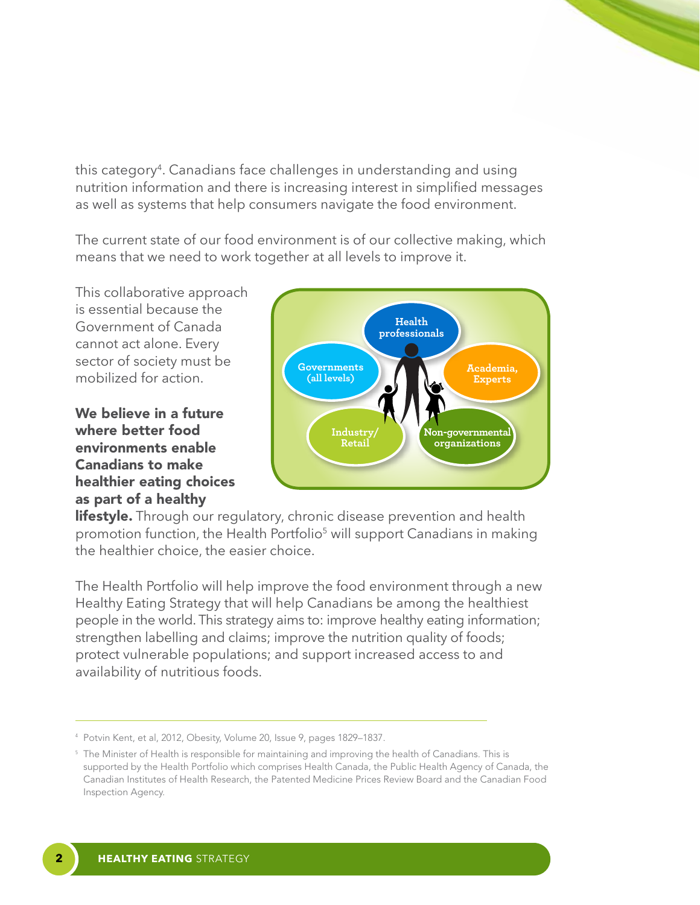this category<sup>4</sup>. Canadians face challenges in understanding and using nutrition information and there is increasing interest in simplified messages as well as systems that help consumers navigate the food environment.

The current state of our food environment is of our collective making, which means that we need to work together at all levels to improve it.

This collaborative approach is essential because the Government of Canada cannot act alone. Every sector of society must be mobilized for action.

#### We believe in a future where better food environments enable Canadians to make healthier eating choices as part of a healthy



**lifestyle.** Through our regulatory, chronic disease prevention and health promotion function, the Health Portfolio<sup>5</sup> will support Canadians in making the healthier choice, the easier choice.

The Health Portfolio will help improve the food environment through a new Healthy Eating Strategy that will help Canadians be among the healthiest people in the world. This strategy aims to: improve healthy eating information; strengthen labelling and claims; improve the nutrition quality of foods; protect vulnerable populations; and support increased access to and availability of nutritious foods.

<sup>4</sup> Potvin Kent, et al, 2012, Obesity, Volume 20, Issue 9, pages 1829–1837.

<sup>&</sup>lt;sup>5</sup> The Minister of Health is responsible for maintaining and improving the health of Canadians. This is supported by the Health Portfolio which comprises Health Canada, the Public Health Agency of Canada, the Canadian Institutes of Health Research, the Patented Medicine Prices Review Board and the Canadian Food Inspection Agency.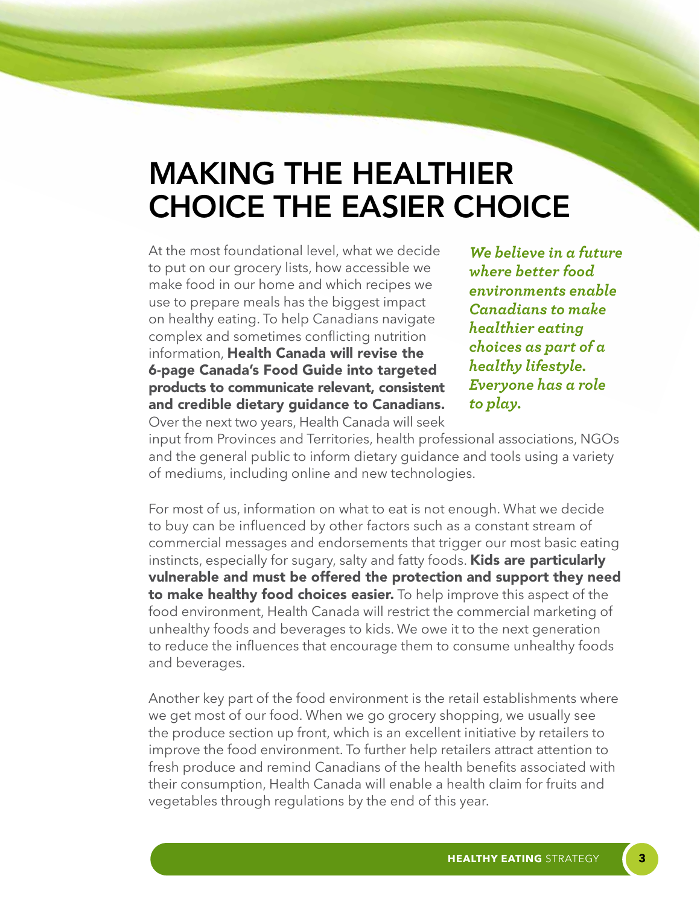# MAKING THE HEALTHIER CHOICE THE EASIER CHOICE

At the most foundational level, what we decide to put on our grocery lists, how accessible we make food in our home and which recipes we use to prepare meals has the biggest impact on healthy eating. To help Canadians navigate complex and sometimes conflicting nutrition information, Health Canada will revise the 6-page Canada's Food Guide into targeted products to communicate relevant, consistent and credible dietary guidance to Canadians.

*We believe in a future where better food environments enable Canadians to make healthier eating choices as part of a healthy lifestyle. Everyone has a role to play.*

Over the next two years, Health Canada will seek

input from Provinces and Territories, health professional associations, NGOs and the general public to inform dietary guidance and tools using a variety of mediums, including online and new technologies.

For most of us, information on what to eat is not enough. What we decide to buy can be influenced by other factors such as a constant stream of commercial messages and endorsements that trigger our most basic eating instincts, especially for sugary, salty and fatty foods. **Kids are particularly** vulnerable and must be offered the protection and support they need **to make healthy food choices easier.** To help improve this aspect of the food environment, Health Canada will restrict the commercial marketing of unhealthy foods and beverages to kids. We owe it to the next generation to reduce the influences that encourage them to consume unhealthy foods and beverages.

Another key part of the food environment is the retail establishments where we get most of our food. When we go grocery shopping, we usually see the produce section up front, which is an excellent initiative by retailers to improve the food environment. To further help retailers attract attention to fresh produce and remind Canadians of the health benefits associated with their consumption, Health Canada will enable a health claim for fruits and vegetables through regulations by the end of this year.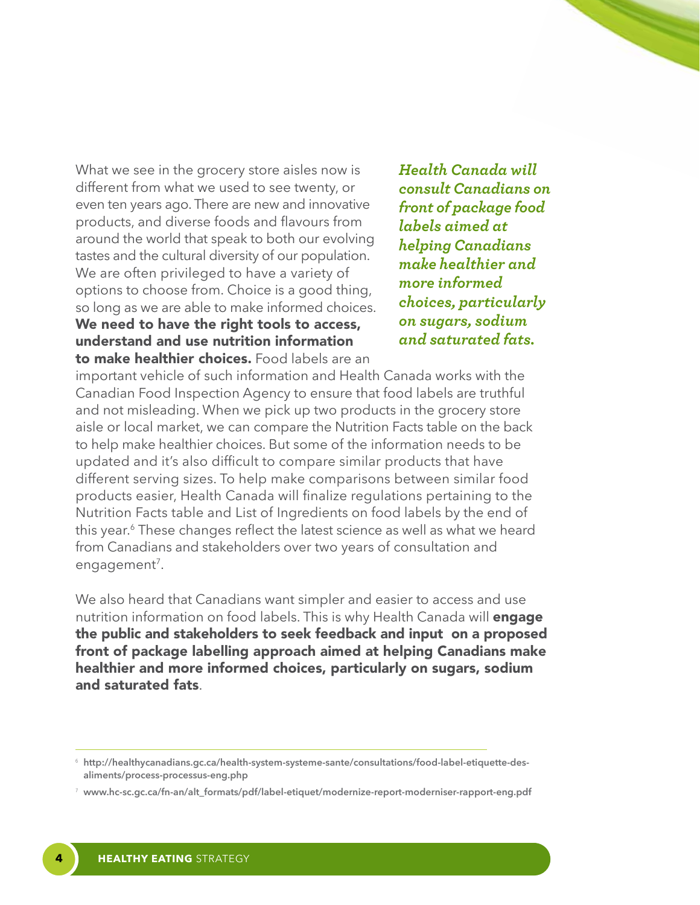What we see in the grocery store aisles now is different from what we used to see twenty, or even ten years ago. There are new and innovative products, and diverse foods and flavours from around the world that speak to both our evolving tastes and the cultural diversity of our population. We are often privileged to have a variety of options to choose from. Choice is a good thing, so long as we are able to make informed choices. We need to have the right tools to access, understand and use nutrition information to make healthier choices. Food labels are an

*Health Canada will consult Canadians on front of package food labels aimed at helping Canadians make healthier and more informed choices, particularly on sugars, sodium and saturated fats.* 

important vehicle of such information and Health Canada works with the Canadian Food Inspection Agency to ensure that food labels are truthful and not misleading. When we pick up two products in the grocery store aisle or local market, we can compare the Nutrition Facts table on the back to help make healthier choices. But some of the information needs to be updated and it's also difficult to compare similar products that have different serving sizes. To help make comparisons between similar food products easier, Health Canada will finalize regulations pertaining to the Nutrition Facts table and List of Ingredients on food labels by the end of this year.<sup>6</sup> These changes reflect the latest science as well as what we heard from Canadians and stakeholders over two years of consultation and engagement<sup>7</sup>.

We also heard that Canadians want simpler and easier to access and use nutrition information on food labels. This is why Health Canada will **engage** the public and stakeholders to seek feedback and input on a proposed front of package labelling approach aimed at helping Canadians make healthier and more informed choices, particularly on sugars, sodium and saturated fats.

<sup>6</sup> **http://healthycanadians.gc.ca/health-system-systeme-sante/consultations/food-label-etiquette-desaliments/process-processus-eng.php**

<sup>7</sup> **www.hc-sc.gc.ca/fn-an/alt\_formats/pdf/label-etiquet/modernize-report-moderniser-rapport-eng.pdf**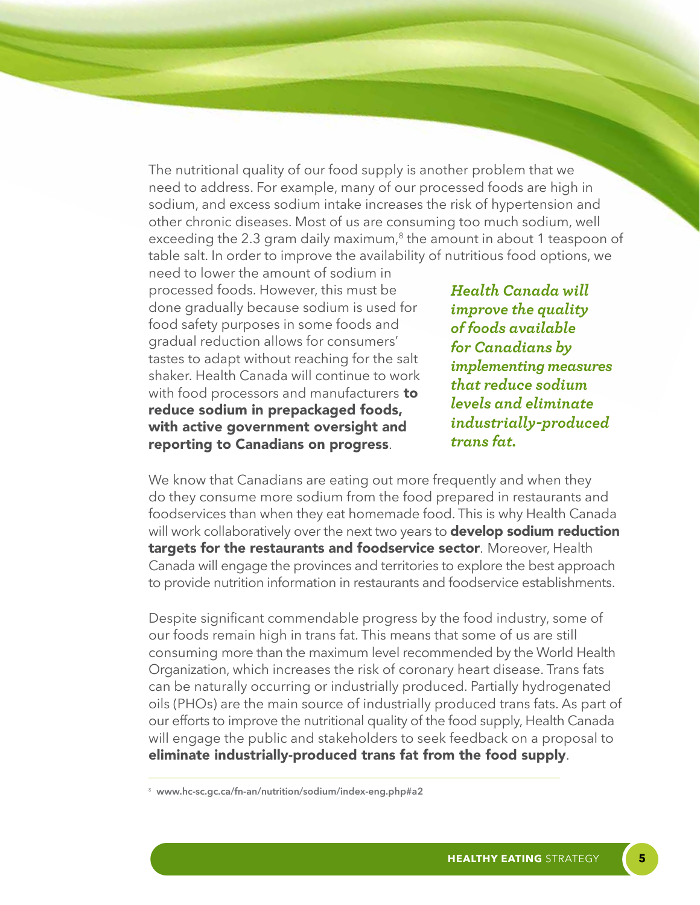The nutritional quality of our food supply is another problem that we need to address. For example, many of our processed foods are high in sodium, and excess sodium intake increases the risk of hypertension and other chronic diseases. Most of us are consuming too much sodium, well exceeding the 2.3 gram daily maximum, $8$  the amount in about 1 teaspoon of table salt. In order to improve the availability of nutritious food options, we

need to lower the amount of sodium in processed foods. However, this must be done gradually because sodium is used for food safety purposes in some foods and gradual reduction allows for consumers' tastes to adapt without reaching for the salt shaker. Health Canada will continue to work with food processors and manufacturers to reduce sodium in prepackaged foods, with active government oversight and reporting to Canadians on progress.

*Health Canada will improve the quality of foods available for Canadians by implementing measures that reduce sodium levels and eliminate industrially-produced trans fat.*

We know that Canadians are eating out more frequently and when they do they consume more sodium from the food prepared in restaurants and foodservices than when they eat homemade food. This is why Health Canada will work collaboratively over the next two years to **develop sodium reduction** targets for the restaurants and foodservice sector. Moreover, Health Canada will engage the provinces and territories to explore the best approach to provide nutrition information in restaurants and foodservice establishments.

Despite significant commendable progress by the food industry, some of our foods remain high in trans fat. This means that some of us are still consuming more than the maximum level recommended by the World Health Organization, which increases the risk of coronary heart disease. Trans fats can be naturally occurring or industrially produced. Partially hydrogenated oils (PHOs) are the main source of industrially produced trans fats. As part of our efforts to improve the nutritional quality of the food supply, Health Canada will engage the public and stakeholders to seek feedback on a proposal to eliminate industrially-produced trans fat from the food supply.

<sup>8</sup> **www.hc-sc.gc.ca/fn-an/nutrition/sodium/index-eng.php#a2**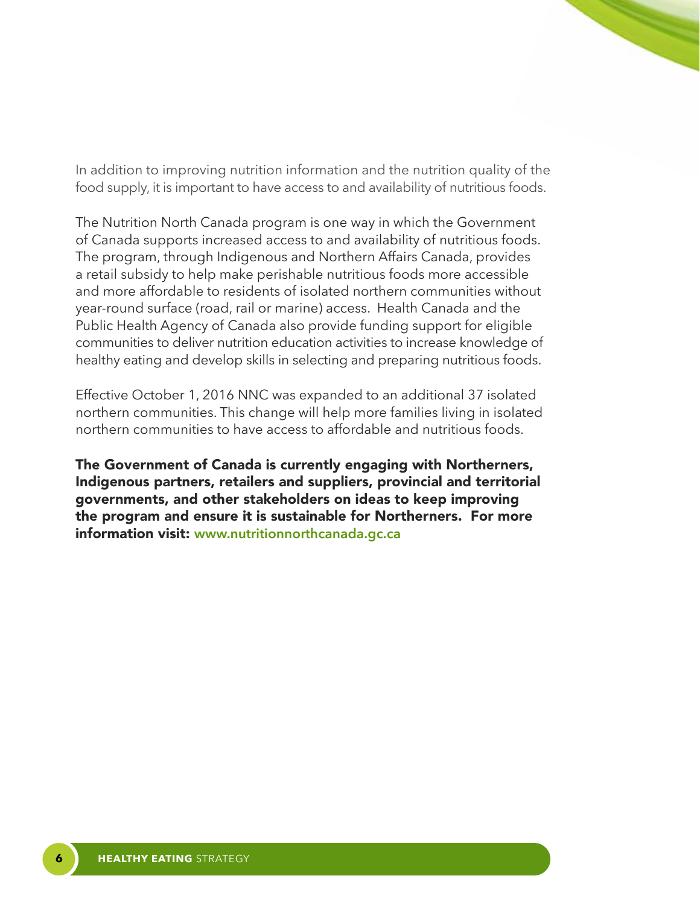In addition to improving nutrition information and the nutrition quality of the food supply, it is important to have access to and availability of nutritious foods.

The Nutrition North Canada program is one way in which the Government of Canada supports increased access to and availability of nutritious foods. The program, through Indigenous and Northern Affairs Canada, provides a retail subsidy to help make perishable nutritious foods more accessible and more affordable to residents of isolated northern communities without year-round surface (road, rail or marine) access. Health Canada and the Public Health Agency of Canada also provide funding support for eligible communities to deliver nutrition education activities to increase knowledge of healthy eating and develop skills in selecting and preparing nutritious foods.

Effective October 1, 2016 NNC was expanded to an additional 37 isolated northern communities. This change will help more families living in isolated northern communities to have access to affordable and nutritious foods.

The Government of Canada is currently engaging with Northerners, Indigenous partners, retailers and suppliers, provincial and territorial governments, and other stakeholders on ideas to keep improving the program and ensure it is sustainable for Northerners. For more information visit: **www.nutritionnorthcanada.gc.ca**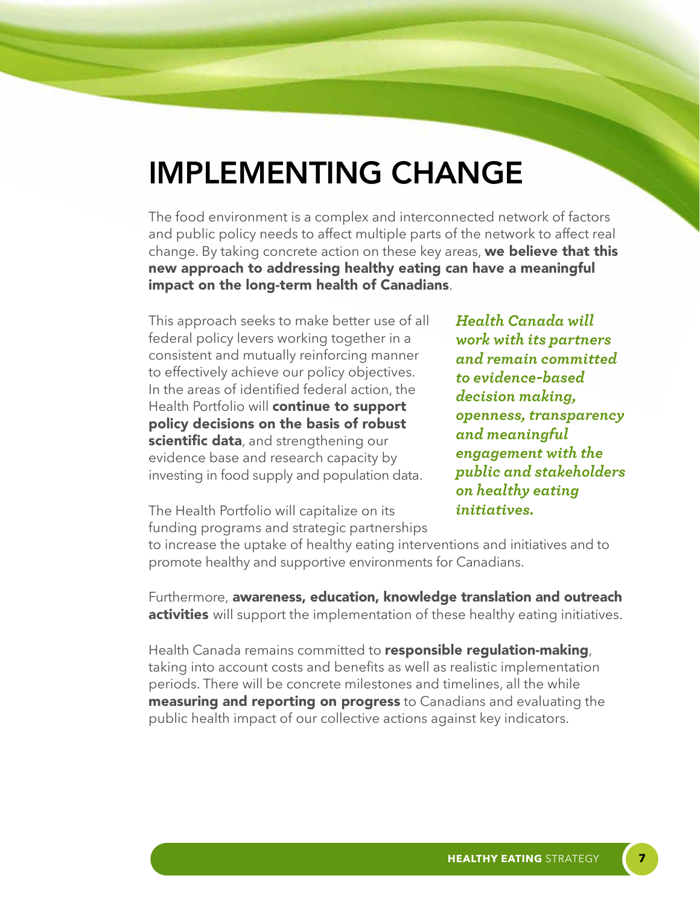# IMPLEMENTING CHANGE

The food environment is a complex and interconnected network of factors and public policy needs to affect multiple parts of the network to affect real change. By taking concrete action on these key areas, we believe that this new approach to addressing healthy eating can have a meaningful impact on the long-term health of Canadians.

This approach seeks to make better use of all federal policy levers working together in a consistent and mutually reinforcing manner to effectively achieve our policy objectives. In the areas of identified federal action, the Health Portfolio will continue to support policy decisions on the basis of robust scientific data, and strengthening our evidence base and research capacity by investing in food supply and population data.

*Health Canada will work with its partners and remain committed to evidence-based decision making, openness, transparency and meaningful engagement with the public and stakeholders on healthy eating initiatives.*

The Health Portfolio will capitalize on its funding programs and strategic partnerships

to increase the uptake of healthy eating interventions and initiatives and to promote healthy and supportive environments for Canadians.

Furthermore, awareness, education, knowledge translation and outreach **activities** will support the implementation of these healthy eating initiatives.

Health Canada remains committed to **responsible regulation-making**, taking into account costs and benefits as well as realistic implementation periods. There will be concrete milestones and timelines, all the while **measuring and reporting on progress** to Canadians and evaluating the public health impact of our collective actions against key indicators.